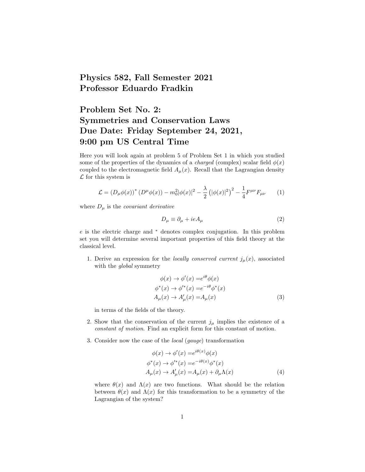## Physics 582, Fall Semester 2021 Professor Eduardo Fradkin

## Problem Set No. 2: Symmetries and Conservation Laws Due Date: Friday September 24, 2021, 9:00 pm US Central Time

Here you will look again at problem 5 of Problem Set 1 in which you studied some of the properties of the dynamics of a *charged* (complex) scalar field  $\phi(x)$ coupled to the electromagnetic field  $A_{\mu}(x)$ . Recall that the Lagrangian density  $\mathcal L$  for this system is

$$
\mathcal{L} = (D_{\mu}\phi(x))^{*} (D^{\mu}\phi(x)) - m_{0}^{2} |\phi(x)|^{2} - \frac{\lambda}{2} (|\phi(x)|^{2})^{2} - \frac{1}{4} F^{\mu\nu} F_{\mu\nu}
$$
 (1)

where  $D_{\mu}$  is the *covariant derivative* 

$$
D_{\mu} \equiv \partial_{\mu} + ieA_{\mu} \tag{2}
$$

e is the electric charge and <sup>∗</sup> denotes complex conjugation. In this problem set you will determine several important properties of this field theory at the classical level.

1. Derive an expression for the *locally conserved current*  $j_{\mu}(x)$ , associated with the *global* symmetry

$$
\phi(x) \to \phi'(x) = e^{i\theta} \phi(x)
$$
  
\n
$$
\phi^*(x) \to \phi'^*(x) = e^{-i\theta} \phi^*(x)
$$
  
\n
$$
A_{\mu}(x) \to A'_{\mu}(x) = A_{\mu}(x)
$$
\n(3)

in terms of the fields of the theory.

- 2. Show that the conservation of the current  $j_{\mu}$  implies the existence of a constant of motion. Find an explicit form for this constant of motion.
- 3. Consider now the case of the local (gauge) transformation

$$
\phi(x) \to \phi'(x) = e^{i\theta(x)}\phi(x)
$$
  
\n
$$
\phi^*(x) \to \phi'^*(x) = e^{-i\theta(x)}\phi^*(x)
$$
  
\n
$$
A_\mu(x) \to A'_\mu(x) = A_\mu(x) + \partial_\mu \Lambda(x)
$$
\n(4)

where  $\theta(x)$  and  $\Lambda(x)$  are two functions. What should be the relation between  $\theta(x)$  and  $\Lambda(x)$  for this transformation to be a symmetry of the Lagrangian of the system?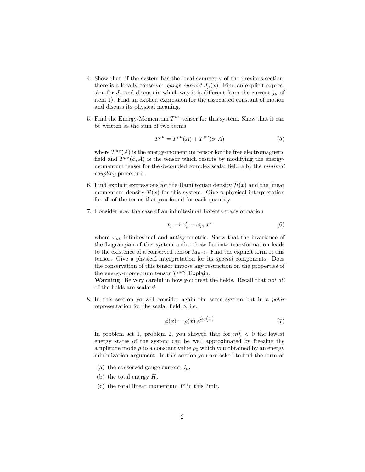- 4. Show that, if the system has the local symmetry of the previous section, there is a locally conserved *gauge current*  $J_{\mu}(x)$ . Find an explicit expression for  $J_{\mu}$  and discuss in which way it is different from the current  $j_{\mu}$  of item 1). Find an explicit expression for the associated constant of motion and discuss its physical meaning.
- 5. Find the Energy-Momentum  $T^{\mu\nu}$  tensor for this system. Show that it can be written as the sum of two terms

$$
T^{\mu\nu} = T^{\mu\nu}(A) + T^{\mu\nu}(\phi, A) \tag{5}
$$

where  $T^{\mu\nu}(A)$  is the energy-momentum tensor for the free electromagnetic field and  $T^{\mu\nu}(\phi, A)$  is the tensor which results by modifying the energymomentum tensor for the decoupled complex scalar field  $\phi$  by the minimal coupling procedure.

- 6. Find explicit expressions for the Hamiltonian density  $\mathcal{H}(x)$  and the linear momentum density  $\mathcal{P}(x)$  for this system. Give a physical interpretation for all of the terms that you found for each quantity.
- 7. Consider now the case of an infinitesimal Lorentz transformation

$$
x_{\mu} \to x'_{\mu} + \omega_{\mu\nu} x^{\nu} \tag{6}
$$

where  $\omega_{\mu\nu}$  infinitesimal and antisymmetric. Show that the invariance of the Lagrangian of this system under these Lorentz transformation leads to the existence of a conserved tensor  $M_{\mu\nu\lambda}$ . Find the explicit form of this tensor. Give a physical interpretation for its spacial components. Does the conservation of this tensor impose any restriction on the properties of the energy-momentum tensor  $T^{\mu\nu}$ ? Explain.

Warning: Be very careful in how you treat the fields. Recall that not all of the fields are scalars!

8. In this section yo will consider again the same system but in a polar representation for the scalar field  $\phi$ , i.e.

$$
\phi(x) = \rho(x) e^{i\omega(x)} \tag{7}
$$

In problem set 1, problem 2, you showed that for  $m_0^2 < 0$  the lowest energy states of the system can be well approximated by freezing the amplitude mode  $\rho$  to a constant value  $\rho_0$  which you obtained by an energy minimization argument. In this section you are asked to find the form of

- (a) the conserved gauge current  $J_{\mu}$ ,
- (b) the total energy  $H$ ,
- (c) the total linear momentum  $P$  in this limit.